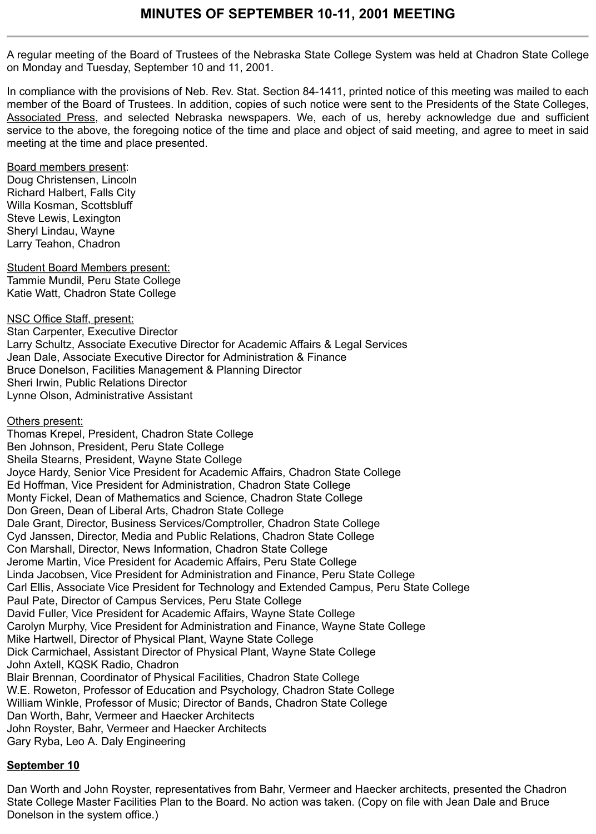A regular meeting of the Board of Trustees of the Nebraska State College System was held at Chadron State College on Monday and Tuesday, September 10 and 11, 2001.

In compliance with the provisions of Neb. Rev. Stat. Section 84-1411, printed notice of this meeting was mailed to each member of the Board of Trustees. In addition, copies of such notice were sent to the Presidents of the State Colleges, Associated Press, and selected Nebraska newspapers. We, each of us, hereby acknowledge due and sufficient service to the above, the foregoing notice of the time and place and object of said meeting, and agree to meet in said meeting at the time and place presented.

Board members present: Doug Christensen, Lincoln Richard Halbert, Falls City Willa Kosman, Scottsbluff Steve Lewis, Lexington Sheryl Lindau, Wayne Larry Teahon, Chadron

Student Board Members present: Tammie Mundil, Peru State College Katie Watt, Chadron State College

NSC Office Staff, present: Stan Carpenter, Executive Director Larry Schultz, Associate Executive Director for Academic Affairs & Legal Services Jean Dale, Associate Executive Director for Administration & Finance Bruce Donelson, Facilities Management & Planning Director Sheri Irwin, Public Relations Director Lynne Olson, Administrative Assistant

**Others present:** Thomas Krepel, President, Chadron State College Ben Johnson, President, Peru State College Sheila Stearns, President, Wayne State College Joyce Hardy, Senior Vice President for Academic Affairs, Chadron State College Ed Hoffman, Vice President for Administration, Chadron State College Monty Fickel, Dean of Mathematics and Science, Chadron State College Don Green, Dean of Liberal Arts, Chadron State College Dale Grant, Director, Business Services/Comptroller, Chadron State College Cyd Janssen, Director, Media and Public Relations, Chadron State College Con Marshall, Director, News Information, Chadron State College Jerome Martin, Vice President for Academic Affairs, Peru State College Linda Jacobsen, Vice President for Administration and Finance, Peru State College Carl Ellis, Associate Vice President for Technology and Extended Campus, Peru State College Paul Pate, Director of Campus Services, Peru State College David Fuller, Vice President for Academic Affairs, Wayne State College Carolyn Murphy, Vice President for Administration and Finance, Wayne State College Mike Hartwell, Director of Physical Plant, Wayne State College Dick Carmichael, Assistant Director of Physical Plant, Wayne State College John Axtell, KQSK Radio, Chadron Blair Brennan, Coordinator of Physical Facilities, Chadron State College W.E. Roweton, Professor of Education and Psychology, Chadron State College William Winkle, Professor of Music; Director of Bands, Chadron State College Dan Worth, Bahr, Vermeer and Haecker Architects John Royster, Bahr, Vermeer and Haecker Architects Gary Ryba, Leo A. Daly Engineering

## **September 10**

Dan Worth and John Royster, representatives from Bahr, Vermeer and Haecker architects, presented the Chadron State College Master Facilities Plan to the Board. No action was taken. (Copy on file with Jean Dale and Bruce Donelson in the system office.)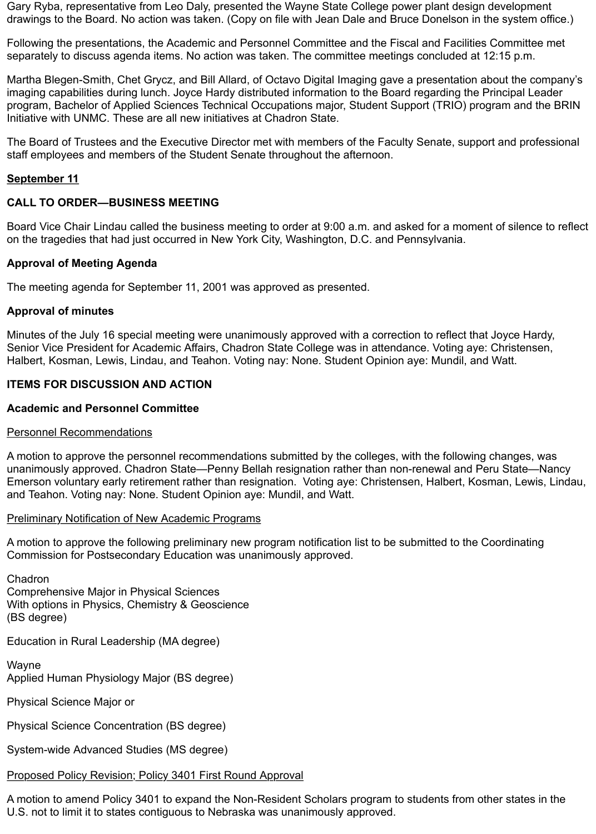Gary Ryba, representative from Leo Daly, presented the Wayne State College power plant design development drawings to the Board. No action was taken. (Copy on file with Jean Dale and Bruce Donelson in the system office.)

Following the presentations, the Academic and Personnel Committee and the Fiscal and Facilities Committee met separately to discuss agenda items. No action was taken. The committee meetings concluded at 12:15 p.m.

Martha Blegen-Smith, Chet Grycz, and Bill Allard, of Octavo Digital Imaging gave a presentation about the company's imaging capabilities during lunch. Joyce Hardy distributed information to the Board regarding the Principal Leader program, Bachelor of Applied Sciences Technical Occupations major, Student Support (TRIO) program and the BRIN Initiative with UNMC. These are all new initiatives at Chadron State.

The Board of Trustees and the Executive Director met with members of the Faculty Senate, support and professional staff employees and members of the Student Senate throughout the afternoon.

### **September 11**

## **CALL TO ORDER—BUSINESS MEETING**

Board Vice Chair Lindau called the business meeting to order at 9:00 a.m. and asked for a moment of silence to reflect on the tragedies that had just occurred in New York City, Washington, D.C. and Pennsylvania.

## **Approval of Meeting Agenda**

The meeting agenda for September 11, 2001 was approved as presented.

#### **Approval of minutes**

Minutes of the July 16 special meeting were unanimously approved with a correction to reflect that Joyce Hardy, Senior Vice President for Academic Affairs, Chadron State College was in attendance. Voting aye: Christensen, Halbert, Kosman, Lewis, Lindau, and Teahon. Voting nay: None. Student Opinion aye: Mundil, and Watt.

### **ITEMS FOR DISCUSSION AND ACTION**

### **Academic and Personnel Committee**

### Personnel Recommendations

A motion to approve the personnel recommendations submitted by the colleges, with the following changes, was unanimously approved. Chadron State—Penny Bellah resignation rather than non-renewal and Peru State—Nancy Emerson voluntary early retirement rather than resignation. Voting aye: Christensen, Halbert, Kosman, Lewis, Lindau, and Teahon. Voting nay: None. Student Opinion aye: Mundil, and Watt.

### Preliminary Notification of New Academic Programs

A motion to approve the following preliminary new program notification list to be submitted to the Coordinating Commission for Postsecondary Education was unanimously approved.

Chadron Comprehensive Major in Physical Sciences With options in Physics, Chemistry & Geoscience (BS degree)

Education in Rural Leadership (MA degree)

Wayne Applied Human Physiology Major (BS degree)

Physical Science Major or

Physical Science Concentration (BS degree)

System-wide Advanced Studies (MS degree)

# Proposed Policy Revision; Policy 3401 First Round Approval

A motion to amend Policy 3401 to expand the Non-Resident Scholars program to students from other states in the U.S. not to limit it to states contiguous to Nebraska was unanimously approved.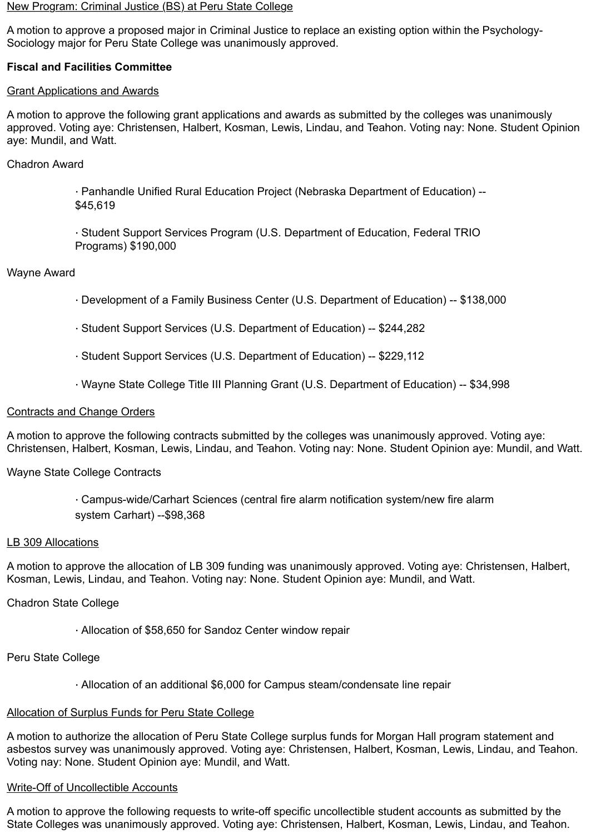#### New Program: Criminal Justice (BS) at Peru State College

A motion to approve a proposed major in Criminal Justice to replace an existing option within the Psychology-Sociology major for Peru State College was unanimously approved.

## **Fiscal and Facilities Committee**

#### Grant Applications and Awards

A motion to approve the following grant applications and awards as submitted by the colleges was unanimously approved. Voting aye: Christensen, Halbert, Kosman, Lewis, Lindau, and Teahon. Voting nay: None. Student Opinion aye: Mundil, and Watt.

### Chadron Award

· Panhandle Unified Rural Education Project (Nebraska Department of Education) -- \$45,619

· Student Support Services Program (U.S. Department of Education, Federal TRIO Programs) \$190,000

### Wayne Award

- · Development of a Family Business Center (U.S. Department of Education) -- \$138,000
- · Student Support Services (U.S. Department of Education) -- \$244,282
- · Student Support Services (U.S. Department of Education) -- \$229,112
- · Wayne State College Title III Planning Grant (U.S. Department of Education) -- \$34,998

#### Contracts and Change Orders

A motion to approve the following contracts submitted by the colleges was unanimously approved. Voting aye: Christensen, Halbert, Kosman, Lewis, Lindau, and Teahon. Voting nay: None. Student Opinion aye: Mundil, and Watt.

Wayne State College Contracts

· Campus-wide/Carhart Sciences (central fire alarm notification system/new fire alarm system Carhart) --\$98,368

#### LB 309 Allocations

A motion to approve the allocation of LB 309 funding was unanimously approved. Voting aye: Christensen, Halbert, Kosman, Lewis, Lindau, and Teahon. Voting nay: None. Student Opinion aye: Mundil, and Watt.

#### Chadron State College

· Allocation of \$58,650 for Sandoz Center window repair

Peru State College

· Allocation of an additional \$6,000 for Campus steam/condensate line repair

#### Allocation of Surplus Funds for Peru State College

A motion to authorize the allocation of Peru State College surplus funds for Morgan Hall program statement and asbestos survey was unanimously approved. Voting aye: Christensen, Halbert, Kosman, Lewis, Lindau, and Teahon. Voting nay: None. Student Opinion aye: Mundil, and Watt.

#### Write-Off of Uncollectible Accounts

A motion to approve the following requests to write-off specific uncollectible student accounts as submitted by the State Colleges was unanimously approved. Voting aye: Christensen, Halbert, Kosman, Lewis, Lindau, and Teahon.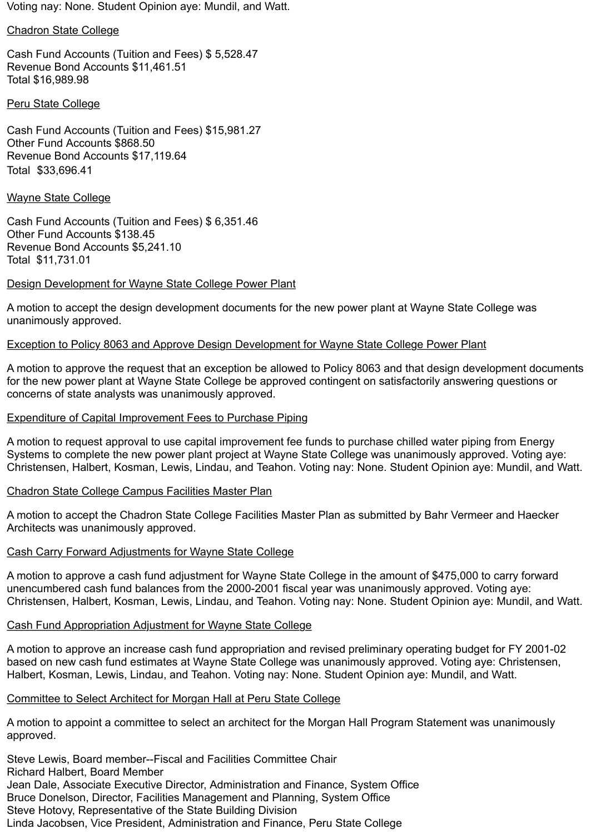Voting nay: None. Student Opinion aye: Mundil, and Watt.

#### Chadron State College

Cash Fund Accounts (Tuition and Fees) \$ 5,528.47 Revenue Bond Accounts \$11,461.51 Total \$16,989.98

### Peru State College

Cash Fund Accounts (Tuition and Fees) \$15,981.27 Other Fund Accounts \$868.50 Revenue Bond Accounts \$17,119.64 Total \$33,696.41

#### Wayne State College

Cash Fund Accounts (Tuition and Fees) \$ 6,351.46 Other Fund Accounts \$138.45 Revenue Bond Accounts \$5,241.10 Total \$11,731.01

### Design Development for Wayne State College Power Plant

A motion to accept the design development documents for the new power plant at Wayne State College was unanimously approved.

### Exception to Policy 8063 and Approve Design Development for Wayne State College Power Plant

A motion to approve the request that an exception be allowed to Policy 8063 and that design development documents for the new power plant at Wayne State College be approved contingent on satisfactorily answering questions or concerns of state analysts was unanimously approved.

### Expenditure of Capital Improvement Fees to Purchase Piping

A motion to request approval to use capital improvement fee funds to purchase chilled water piping from Energy Systems to complete the new power plant project at Wayne State College was unanimously approved. Voting aye: Christensen, Halbert, Kosman, Lewis, Lindau, and Teahon. Voting nay: None. Student Opinion aye: Mundil, and Watt.

### Chadron State College Campus Facilities Master Plan

A motion to accept the Chadron State College Facilities Master Plan as submitted by Bahr Vermeer and Haecker Architects was unanimously approved.

### Cash Carry Forward Adjustments for Wayne State College

A motion to approve a cash fund adjustment for Wayne State College in the amount of \$475,000 to carry forward unencumbered cash fund balances from the 2000-2001 fiscal year was unanimously approved. Voting aye: Christensen, Halbert, Kosman, Lewis, Lindau, and Teahon. Voting nay: None. Student Opinion aye: Mundil, and Watt.

### Cash Fund Appropriation Adjustment for Wayne State College

A motion to approve an increase cash fund appropriation and revised preliminary operating budget for FY 2001-02 based on new cash fund estimates at Wayne State College was unanimously approved. Voting aye: Christensen, Halbert, Kosman, Lewis, Lindau, and Teahon. Voting nay: None. Student Opinion aye: Mundil, and Watt.

### Committee to Select Architect for Morgan Hall at Peru State College

A motion to appoint a committee to select an architect for the Morgan Hall Program Statement was unanimously approved.

Steve Lewis, Board member--Fiscal and Facilities Committee Chair Richard Halbert, Board Member Jean Dale, Associate Executive Director, Administration and Finance, System Office Bruce Donelson, Director, Facilities Management and Planning, System Office Steve Hotovy, Representative of the State Building Division Linda Jacobsen, Vice President, Administration and Finance, Peru State College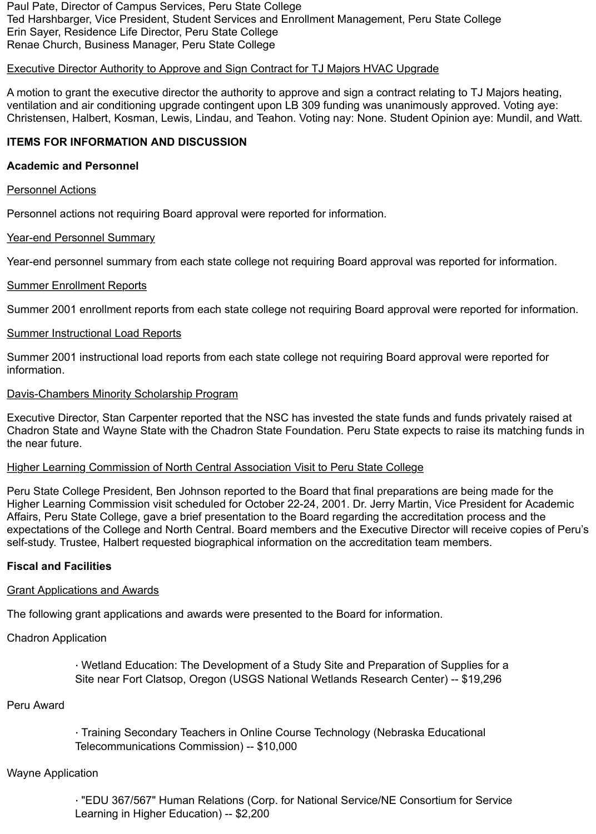Paul Pate, Director of Campus Services, Peru State College Ted Harshbarger, Vice President, Student Services and Enrollment Management, Peru State College Erin Sayer, Residence Life Director, Peru State College Renae Church, Business Manager, Peru State College

## Executive Director Authority to Approve and Sign Contract for TJ Majors HVAC Upgrade

A motion to grant the executive director the authority to approve and sign a contract relating to TJ Majors heating, ventilation and air conditioning upgrade contingent upon LB 309 funding was unanimously approved. Voting aye: Christensen, Halbert, Kosman, Lewis, Lindau, and Teahon. Voting nay: None. Student Opinion aye: Mundil, and Watt.

## **ITEMS FOR INFORMATION AND DISCUSSION**

### **Academic and Personnel**

#### Personnel Actions

Personnel actions not requiring Board approval were reported for information.

### Year-end Personnel Summary

Year-end personnel summary from each state college not requiring Board approval was reported for information.

### Summer Enrollment Reports

Summer 2001 enrollment reports from each state college not requiring Board approval were reported for information.

### Summer Instructional Load Reports

Summer 2001 instructional load reports from each state college not requiring Board approval were reported for information.

### Davis-Chambers Minority Scholarship Program

Executive Director, Stan Carpenter reported that the NSC has invested the state funds and funds privately raised at Chadron State and Wayne State with the Chadron State Foundation. Peru State expects to raise its matching funds in the near future.

### Higher Learning Commission of North Central Association Visit to Peru State College

Peru State College President, Ben Johnson reported to the Board that final preparations are being made for the Higher Learning Commission visit scheduled for October 22-24, 2001. Dr. Jerry Martin, Vice President for Academic Affairs, Peru State College, gave a brief presentation to the Board regarding the accreditation process and the expectations of the College and North Central. Board members and the Executive Director will receive copies of Peru's self-study. Trustee, Halbert requested biographical information on the accreditation team members.

### **Fiscal and Facilities**

### Grant Applications and Awards

The following grant applications and awards were presented to the Board for information.

### Chadron Application

· Wetland Education: The Development of a Study Site and Preparation of Supplies for a Site near Fort Clatsop, Oregon (USGS National Wetlands Research Center) -- \$19,296

### Peru Award

· Training Secondary Teachers in Online Course Technology (Nebraska Educational Telecommunications Commission) -- \$10,000

### Wayne Application

· "EDU 367/567" Human Relations (Corp. for National Service/NE Consortium for Service Learning in Higher Education) -- \$2,200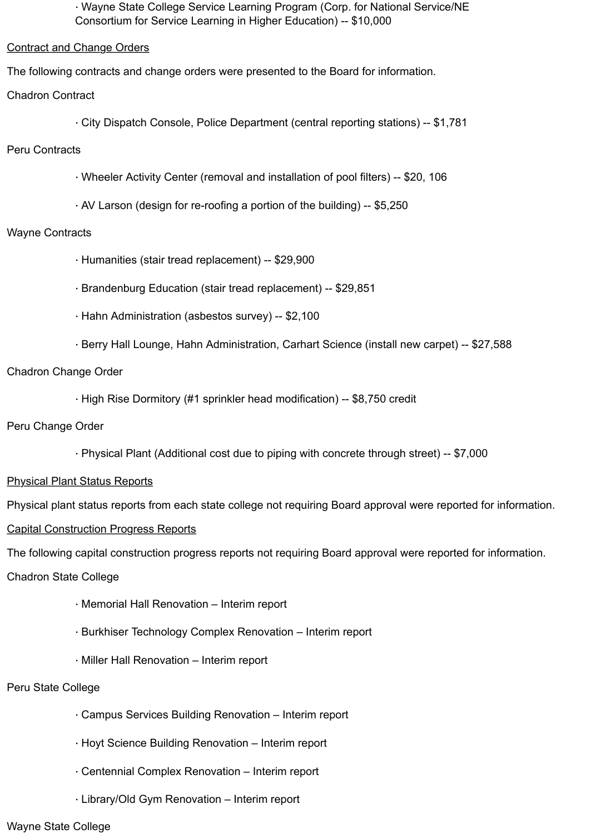· Wayne State College Service Learning Program (Corp. for National Service/NE Consortium for Service Learning in Higher Education) -- \$10,000

Contract and Change Orders

The following contracts and change orders were presented to the Board for information.

- Chadron Contract
	- · City Dispatch Console, Police Department (central reporting stations) -- \$1,781
- Peru Contracts
	- · Wheeler Activity Center (removal and installation of pool filters) -- \$20, 106
	- · AV Larson (design for re-roofing a portion of the building) -- \$5,250

## Wayne Contracts

- · Humanities (stair tread replacement) -- \$29,900
- · Brandenburg Education (stair tread replacement) -- \$29,851
- · Hahn Administration (asbestos survey) -- \$2,100
- · Berry Hall Lounge, Hahn Administration, Carhart Science (install new carpet) -- \$27,588

## Chadron Change Order

· High Rise Dormitory (#1 sprinkler head modification) -- \$8,750 credit

### Peru Change Order

· Physical Plant (Additional cost due to piping with concrete through street) -- \$7,000

## Physical Plant Status Reports

Physical plant status reports from each state college not requiring Board approval were reported for information.

Capital Construction Progress Reports

The following capital construction progress reports not requiring Board approval were reported for information.

### Chadron State College

- · Memorial Hall Renovation Interim report
- · Burkhiser Technology Complex Renovation Interim report
- · Miller Hall Renovation Interim report

### Peru State College

- · Campus Services Building Renovation Interim report
- · Hoyt Science Building Renovation Interim report
- · Centennial Complex Renovation Interim report
- · Library/Old Gym Renovation Interim report

#### Wayne State College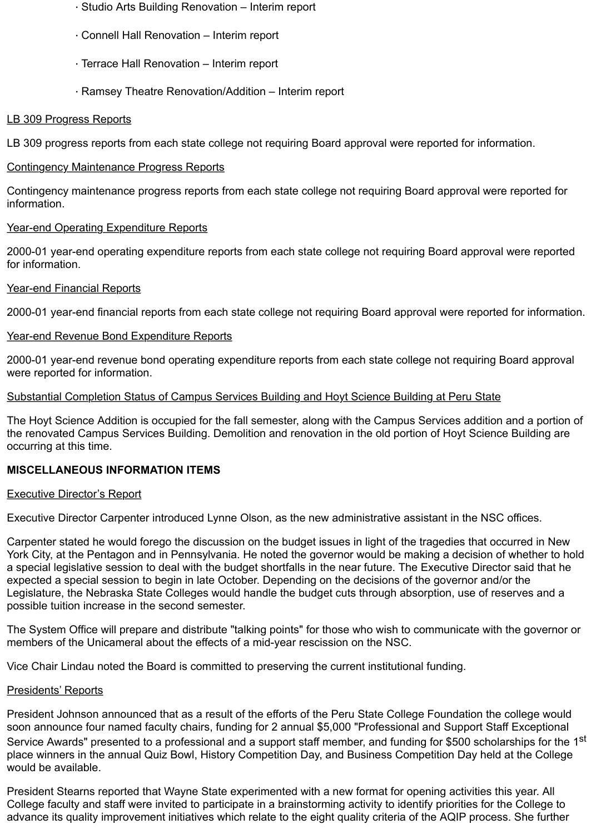- · Studio Arts Building Renovation Interim report
- · Connell Hall Renovation Interim report
- · Terrace Hall Renovation Interim report
- · Ramsey Theatre Renovation/Addition Interim report

## LB 309 Progress Reports

LB 309 progress reports from each state college not requiring Board approval were reported for information.

## Contingency Maintenance Progress Reports

Contingency maintenance progress reports from each state college not requiring Board approval were reported for information.

## Year-end Operating Expenditure Reports

2000-01 year-end operating expenditure reports from each state college not requiring Board approval were reported for information.

## Year-end Financial Reports

2000-01 year-end financial reports from each state college not requiring Board approval were reported for information.

## Year-end Revenue Bond Expenditure Reports

2000-01 year-end revenue bond operating expenditure reports from each state college not requiring Board approval were reported for information.

## Substantial Completion Status of Campus Services Building and Hoyt Science Building at Peru State

The Hoyt Science Addition is occupied for the fall semester, along with the Campus Services addition and a portion of the renovated Campus Services Building. Demolition and renovation in the old portion of Hoyt Science Building are occurring at this time.

## **MISCELLANEOUS INFORMATION ITEMS**

### Executive Director's Report

Executive Director Carpenter introduced Lynne Olson, as the new administrative assistant in the NSC offices.

Carpenter stated he would forego the discussion on the budget issues in light of the tragedies that occurred in New York City, at the Pentagon and in Pennsylvania. He noted the governor would be making a decision of whether to hold a special legislative session to deal with the budget shortfalls in the near future. The Executive Director said that he expected a special session to begin in late October. Depending on the decisions of the governor and/or the Legislature, the Nebraska State Colleges would handle the budget cuts through absorption, use of reserves and a possible tuition increase in the second semester.

The System Office will prepare and distribute "talking points" for those who wish to communicate with the governor or members of the Unicameral about the effects of a mid-year rescission on the NSC.

Vice Chair Lindau noted the Board is committed to preserving the current institutional funding.

### Presidents' Reports

President Johnson announced that as a result of the efforts of the Peru State College Foundation the college would soon announce four named faculty chairs, funding for 2 annual \$5,000 "Professional and Support Staff Exceptional Service Awards" presented to a professional and a support staff member, and funding for \$500 scholarships for the 1<sup>st</sup> place winners in the annual Quiz Bowl, History Competition Day, and Business Competition Day held at the College would be available.

President Stearns reported that Wayne State experimented with a new format for opening activities this year. All College faculty and staff were invited to participate in a brainstorming activity to identify priorities for the College to advance its quality improvement initiatives which relate to the eight quality criteria of the AQIP process. She further